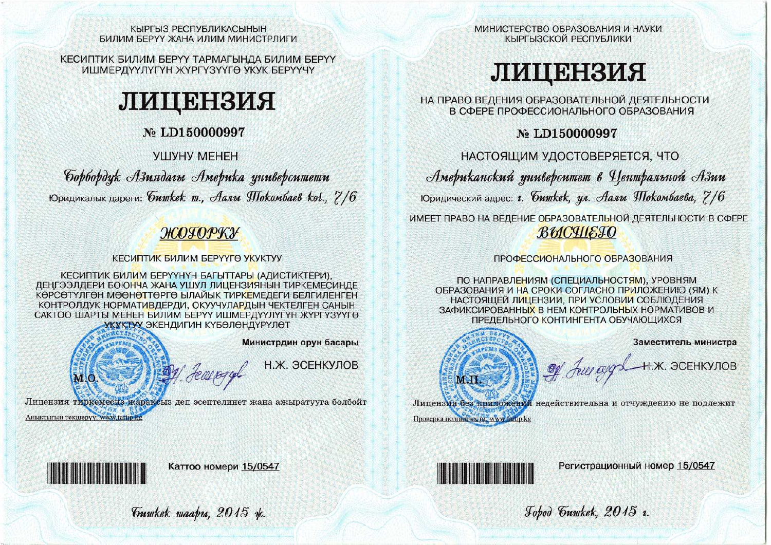#### КЫРГЫЗ РЕСПУБЛИКАСЫНЫН БИЛИМ БЕРҮҮ ЖАНА ИЛИМ МИНИСТРЛИГИ

КЕСИПТИК БИЛИМ БЕРҮҮ ТАРМАГЫНДА БИЛИМ БЕРҮҮ ИШМЕРДҮҮЛҮГҮН ЖҮРГҮЗҮҮГӨ УКУК БЕРҮҮЧҮ

# ли понезия

# No LD150000997

## УШУНУ МЕНЕН

Gopbopdyk Азиядагы Америка университети Юридикалык дареги: бишкек ш., Аалы Шокомбаев ког., 7/6

# ЖОГОРКУ

## КЕСИПТИК БИЛИМ БЕРҮҮГӨ УКУКТУУ

КЕСИПТИК БИЛИМ БЕРҮҮНҮН БАГЫТТАРЫ (АДИСТИКТЕРИ), ДЕҢГЭЭЛДЕРИ БОЮНЧА ЖАНА УШУЛ ЛИЦЕНЗИЯНЫН ТИРКЕМЕСИНДЕ КӨРСӨТҮЛГӨН МӨӨНӨТТӨРГӨ ЫЛАЙЫК ТИРКЕМЕДЕГИ БЕЛГИЛЕНГЕН КОНТРОЛДУК НОРМАТИВДЕРДИ, ОКУУЧУЛАРДЫН ЧЕКТЕЛГЕН САНЫН САКТОО ШАРТЫ МЕНЕН БИЛИМ БЕРҮҮ ИШМЕРДҮҮЛҮГҮН ЖҮРГҮЗҮҮГӨ УКУКТУУ ЭКЕНДИГИН КҮБӨЛӨНДҮРҮЛӨТ



Лицензия тиркемесиз жараксыз деп эсептелинет жана ажыратууга болбойт Аныктыгын текшерүү, www.tartip.kg

МИНИСТЕРСТВО ОБРАЗОВАНИЯ И НАУКИ КЫРГЫЗСКОЙ РЕСПУБЛИКИ

# ЛИЦЕНЗИЯ

НА ПРАВО ВЕДЕНИЯ ОБРАЗОВАТЕЛЬНОЙ ДЕЯТЕЛЬНОСТИ В СФЕРЕ ПРОФЕССИОНАЛЬНОГО ОБРАЗОВАНИЯ

No LD150000997

НАСТОЯЩИМ УДОСТОВЕРЯЕТСЯ. ЧТО

Американский университет в Чентральной Азии Юридический адрес: г. *бишкек*, ул. Аалы Шокомбаева, 7/6

ИМЕЕТ ПРАВО НА ВЕДЕНИЕ ОБРАЗОВАТЕЛЬНОЙ ДЕЯТЕЛЬНОСТИ В СФЕРЕ ВЫСЧІЕТО

## ПРОФЕССИОНАЛЬНОГО ОБРАЗОВАНИЯ

ПО НАПРАВЛЕНИЯМ (СПЕЦИАЛЬНОСТЯМ), УРОВНЯМ ОБРАЗОВАНИЯ И НА СРОКИ СОГЛАСНО ПРИЛОЖЕНИЮ (ЯМ) К НАСТОЯЩЕЙ ЛИЦЕНЗИИ, ПРИ УСЛОВИИ СОБЛЮДЕНИЯ ЗАФИКСИРОВАННЫХ В НЕМ КОНТРОЛЬНЫХ НОРМАТИВОВ И ПРЕДЕЛЬНОГО КОНТИНГЕНТА ОБУЧАЮЩИХСЯ



Of July appl H.X. ЭСЕНКУЛОВ

Заместитель министра

Проверка подлицности, www.tartip.kg

Лицензия без приложений недействительна и отчуждению не подлежит



Регистрационный номер 15/0547

Jobod Guyukek, 2015 v.



Каттоо номери 15/0547

Guwkek waapu, 2015 x.